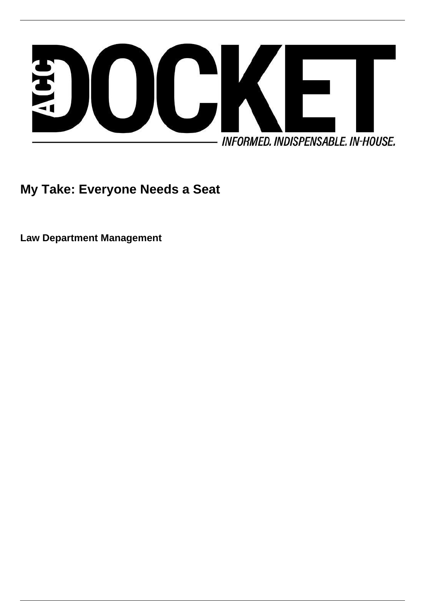

## **My Take: Everyone Needs a Seat**

**Law Department Management**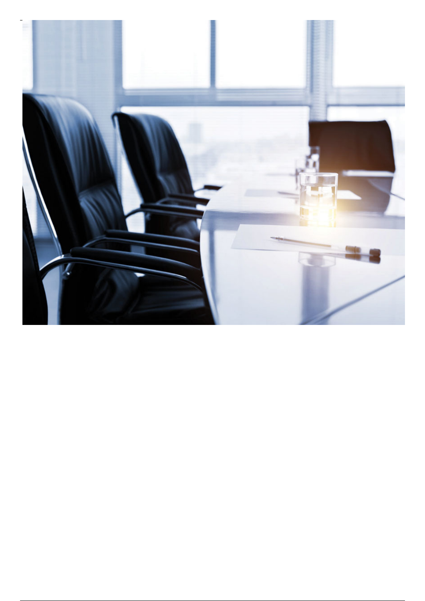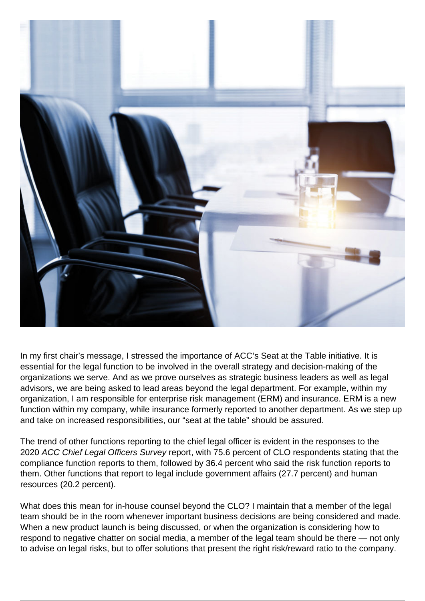

In my first chair's message, I stressed the importance of ACC's Seat at the Table initiative. It is essential for the legal function to be involved in the overall strategy and decision-making of the organizations we serve. And as we prove ourselves as strategic business leaders as well as legal advisors, we are being asked to lead areas beyond the legal department. For example, within my organization, I am responsible for enterprise risk management (ERM) and insurance. ERM is a new function within my company, while insurance formerly reported to another department. As we step up and take on increased responsibilities, our "seat at the table" should be assured.

The trend of other functions reporting to the chief legal officer is evident in the responses to the 2020 ACC Chief Legal Officers Survey report, with 75.6 percent of CLO respondents stating that the compliance function reports to them, followed by 36.4 percent who said the risk function reports to them. Other functions that report to legal include government affairs (27.7 percent) and human resources (20.2 percent).

What does this mean for in-house counsel beyond the CLO? I maintain that a member of the legal team should be in the room whenever important business decisions are being considered and made. When a new product launch is being discussed, or when the organization is considering how to respond to negative chatter on social media, a member of the legal team should be there — not only to advise on legal risks, but to offer solutions that present the right risk/reward ratio to the company.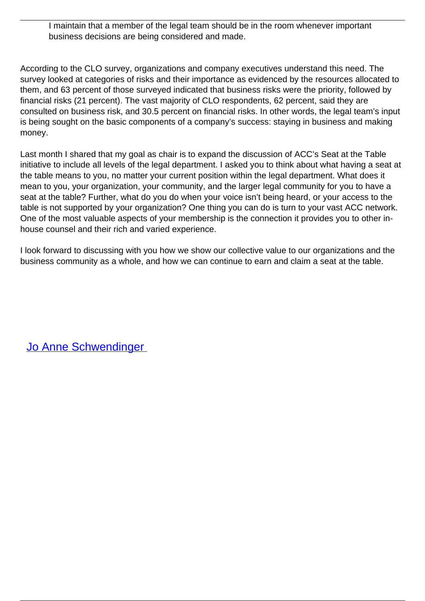I maintain that a member of the legal team should be in the room whenever important business decisions are being considered and made.

According to the CLO survey, organizations and company executives understand this need. The survey looked at categories of risks and their importance as evidenced by the resources allocated to them, and 63 percent of those surveyed indicated that business risks were the priority, followed by financial risks (21 percent). The vast majority of CLO respondents, 62 percent, said they are consulted on business risk, and 30.5 percent on financial risks. In other words, the legal team's input is being sought on the basic components of a company's success: staying in business and making money.

Last month I shared that my goal as chair is to expand the discussion of ACC's Seat at the Table initiative to include all levels of the legal department. I asked you to think about what having a seat at the table means to you, no matter your current position within the legal department. What does it mean to you, your organization, your community, and the larger legal community for you to have a seat at the table? Further, what do you do when your voice isn't being heard, or your access to the table is not supported by your organization? One thing you can do is turn to your vast ACC network. One of the most valuable aspects of your membership is the connection it provides you to other inhouse counsel and their rich and varied experience.

I look forward to discussing with you how we show our collective value to our organizations and the business community as a whole, and how we can continue to earn and claim a seat at the table.

[Jo Anne Schwendinger](/author/jo-anne-schwendinger)